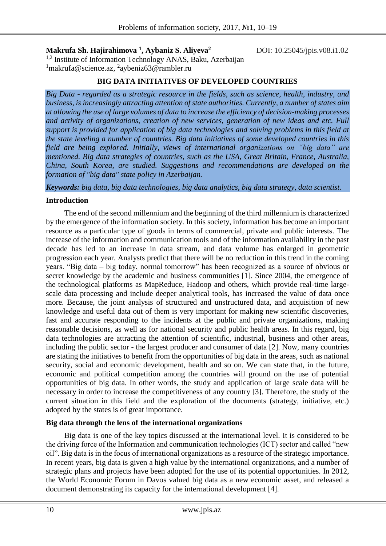**Makrufa Sh. Hajirahimova <sup>1</sup> , Aybaniz S. Aliyeva<sup>2</sup>** <sup>1,2</sup> Institute of Information Technology ANAS, Baku, Azerbaijan <sup>1</sup>makrufa@science.az, <sup>2</sup>[aybeniz63@rambler.ru](mailto:aybeniz63@rambler.ru)

#### **BIG DATA INITIATIVES OF DEVELOPED COUNTRIES**

*Big Data - regarded as a strategic resource in the fields, such as science, health, industry, and business, is increasingly attracting attention of state authorities. Currently, a number of states aim at allowing the use of large volumes of data to increase the efficiency of decision-making processes and activity of organizations, creation of new services, generation of new ideas and etc. Full support is provided for application of big data technologies and solving problems in this field at the state leveling a number of countries. Big data initiatives of some developed countries in this field are being explored. Initially, views of international organizations on "big data" are mentioned. Big data strategies of countries, such as the USA, Great Britain, France, Australia, China, South Korea, are studied. Suggestions and recommendations are developed on the formation of "big data" state policy in Azerbaijan.*

*Keywords: big data, big data technologies, big data analytics, big data strategy, data scientist.*

### **Introduction**

The end of the second millennium and the beginning of the third millennium is characterized by the emergence of the information society. In this society, information has become an important resource as a particular type of goods in terms of commercial, private and public interests. The increase of the information and communication tools and of the information availability in the past decade has led to an increase in data stream, and data volume has enlarged in geometric progression each year. Analysts predict that there will be no reduction in this trend in the coming years. "Big data – big today, normal tomorrow" has been recognized as a source of obvious or secret knowledge by the academic and business communities [1]. Since 2004, the emergence of the technological platforms as MapReduce, Hadoop and others, which provide real-time largescale data processing and include deeper analytical tools, has increased the value of data once more. Because, the joint analysis of structured and unstructured data, and acquisition of new knowledge and useful data out of them is very important for making new scientific discoveries, fast and accurate responding to the incidents at the public and private organizations, making reasonable decisions, as well as for national security and public health areas. In this regard, big data technologies are attracting the attention of scientific, industrial, business and other areas, including the public sector - the largest producer and consumer of data [2]. Now, many countries are stating the initiatives to benefit from the opportunities of big data in the areas, such as national security, social and economic development, health and so on. We can state that, in the future, economic and political competition among the countries will ground on the use of potential opportunities of big data. In other words, the study and application of large scale data will be necessary in order to increase the competitiveness of any country [3]. Therefore, the study of the current situation in this field and the exploration of the documents (strategy, initiative, etc.) adopted by the states is of great importance.

## **Big data through the lens of the international organizations**

Big data is one of the key topics discussed at the international level. It is considered to be the driving force of the Information and communication technologies (ICT) sector and called "new oil". Big data is in the focus of international organizations as a resource of the strategic importance. In recent years, big data is given a high value by the international organizations, and a number of strategic plans and projects have been adopted for the use of its potential opportunities. In 2012, the World Economic Forum in Davos valued big data as a new economic asset, and released a document demonstrating its capacity for the international development [4].

DOI: 10.25045/jpis.v08.i1.02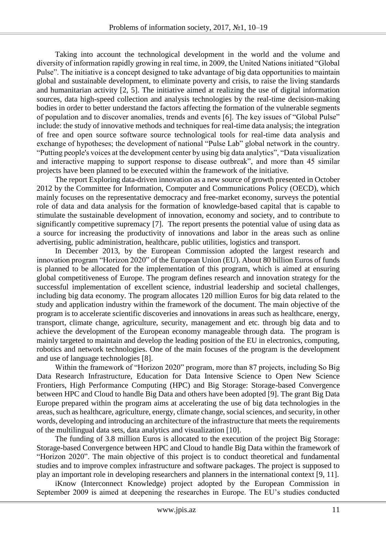Taking into account the technological development in the world and the volume and diversity of information rapidly growing in real time, in 2009, the United Nations initiated "Global Pulse". The initiative is a concept designed to take advantage of big data opportunities to maintain global and sustainable development, to eliminate poverty and crisis, to raise the living standards and humanitarian activity [2, 5]. The initiative aimed at realizing the use of digital information sources, data high-speed collection and analysis technologies by the real-time decision-making bodies in order to better understand the factors affecting the formation of the vulnerable segments of population and to discover anomalies, trends and events [6]. The key issues of "Global Pulse" include: the study of innovative methods and techniques for real-time data analysis; the integration of free and open source software source technological tools for real-time data analysis and exchange of hypotheses; the development of national "Pulse Lab" global network in the country. "Putting people's voices at the development center by using big data analytics", "Data visualization and interactive mapping to support response to disease outbreak", and more than 45 similar projects have been planned to be executed within the framework of the initiative.

The report Exploring data-driven innovation as a new source of growth presented in October 2012 by the Committee for Information, Computer and Communications Policy (OECD), which mainly focuses on the representative democracy and free-market economy, surveys the potential role of data and data analysis for the formation of knowledge-based capital that is capable to stimulate the sustainable development of innovation, economy and society, and to contribute to significantly competitive supremacy [7]. The report presents the potential value of using data as a source for increasing the productivity of innovations and labor in the areas such as online advertising, public administration, healthcare, public utilities, logistics and transport.

In December 2013, by the European Commission adopted the largest research and innovation program "Horizon 2020" of the European Union (EU). About 80 billion Euros of funds is planned to be allocated for the implementation of this program, which is aimed at ensuring global competitiveness of Europe. The program defines research and innovation strategy for the successful implementation of excellent science, industrial leadership and societal challenges, including big data economy. The program allocates 120 million Euros for big data related to the study and application industry within the framework of the document. The main objective of the program is to accelerate scientific discoveries and innovations in areas such as healthcare, energy, transport, climate change, agriculture, security, management and etc. through big data and to achieve the development of the European economy manageable through data. The program is mainly targeted to maintain and develop the leading position of the EU in electronics, computing, robotics and network technologies. One of the main focuses of the program is the development and use of language technologies [8].

Within the framework of "Horizon 2020" program, more than 87 projects, including So Big Data Research Infrastructure, Education for Data Intensive Science to Open New Science Frontiers, High Performance Computing (HPC) and Big Storage: Storage-based Convergence between HPC and Cloud to handle Big Data and others have been adopted [9]. The grant Big Data Europe prepared within the program aims at accelerating the use of big data technologies in the areas, such as healthcare, agriculture, energy, climate change, social sciences, and security, in other words, developing and introducing an architecture of the infrastructure that meets the requirements of the multilingual data sets, data analytics and visualization [10].

The funding of 3.8 million Euros is allocated to the execution of the project Big Storage: Storage-based Convergence between HPC and Cloud to handle Big Data within the framework of "Horizon 2020". The main objective of this project is to conduct theoretical and fundamental studies and to improve complex infrastructure and software packages. The project is supposed to play an important role in developing researchers and planners in the international context [9, 11].

iKnow (Interconnect Knowledge) project adopted by the European Commission in September 2009 is aimed at deepening the researches in Europe. The EU's studies conducted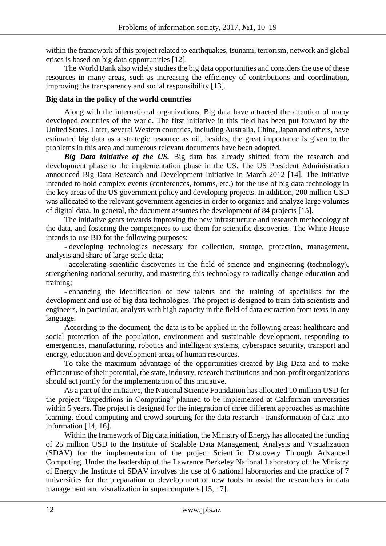within the framework of this project related to earthquakes, tsunami, terrorism, network and global crises is based on big data opportunities [12].

The World Bank also widely studies the big data opportunities and considers the use of these resources in many areas, such as increasing the efficiency of contributions and coordination, improving the transparency and social responsibility [13].

# **Big data in the policy of the world countries**

Along with the international organizations, Big data have attracted the attention of many developed countries of the world. The first initiative in this field has been put forward by the United States. Later, several Western countries, including Australia, China, Japan and others, have estimated big data as a strategic resource as oil, besides, the great importance is given to the problems in this area and numerous relevant documents have been adopted.

*Big Data initiative of the US.* Big data has already shifted from the research and development phase to the implementation phase in the US. The US President Administration announced Big Data Research and Development Initiative in March 2012 [14]. The Initiative intended to hold complex events (conferences, forums, etc.) for the use of big data technology in the key areas of the US government policy and developing projects. In addition, 200 million USD was allocated to the relevant government agencies in order to organize and analyze large volumes of digital data. In general, the document assumes the development of 84 projects [15].

The initiative gears towards improving the new infrastructure and research methodology of the data, and fostering the competences to use them for scientific discoveries. The White House intends to use BD for the following purposes:

- developing technologies necessary for collection, storage, protection, management, analysis and share of large-scale data;

- accelerating scientific discoveries in the field of science and engineering (technology), strengthening national security, and mastering this technology to radically change education and training;

- enhancing the identification of new talents and the training of specialists for the development and use of big data technologies. The project is designed to train data scientists and engineers, in particular, analysts with high capacity in the field of data extraction from texts in any language.

According to the document, the data is to be applied in the following areas: healthcare and social protection of the population, environment and sustainable development, responding to emergencies, manufacturing, robotics and intelligent systems, cyberspace security, transport and energy, education and development areas of human resources.

To take the maximum advantage of the opportunities created by Big Data and to make efficient use of their potential, the state, industry, research institutions and non-profit organizations should act jointly for the implementation of this initiative.

As a part of the initiative, the National Science Foundation has allocated 10 million USD for the project "Expeditions in Computing" planned to be implemented at Californian universities within 5 years. The project is designed for the integration of three different approaches as machine learning, cloud computing and crowd sourcing for the data research - transformation of data into information [14, 16].

Within the framework of Big data initiation, the Ministry of Energy has allocated the funding of 25 million USD to the Institute of Scalable Data Management, Analysis and Visualization (SDAV) for the implementation of the project Scientific Discovery Through Advanced Computing. Under the leadership of the Lawrence Berkeley National Laboratory of the Ministry of Energy the Institute of SDAV involves the use of 6 national laboratories and the practice of 7 universities for the preparation or development of new tools to assist the researchers in data management and visualization in supercomputers [15, 17].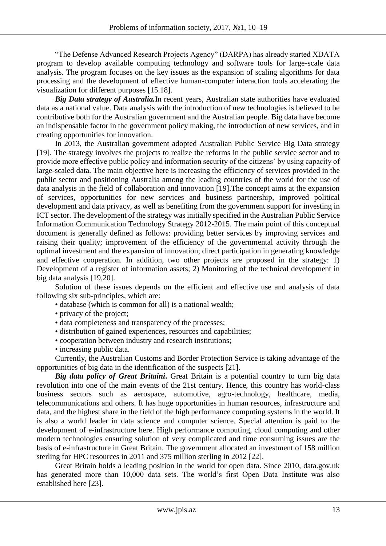"The Defense Advanced Research Projects Agency" (DARPA) has already started XDATA program to develop available computing technology and software tools for large-scale data analysis. The program focuses on the key issues as the expansion of scaling algorithms for data processing and the development of effective human-computer interaction tools accelerating the visualization for different purposes [15.18].

*Big Data strategy of Australia.*In recent years, Australian state authorities have evaluated data as a national value. Data analysis with the introduction of new technologies is believed to be contributive both for the Australian government and the Australian people. Big data have become an indispensable factor in the government policy making, the introduction of new services, and in creating opportunities for innovation.

In 2013, the Australian government adopted Australian Public Service Big Data strategy [19]. The strategy involves the projects to realize the reforms in the public service sector and to provide more effective public policy and information security of the citizens' by using capacity of large-scaled data. The main objective here is increasing the efficiency of services provided in the public sector and positioning Australia among the leading countries of the world for the use of data analysis in the field of collaboration and innovation [19].The concept aims at the expansion of services, opportunities for new services and business partnership, improved political development and data privacy, as well as benefiting from the government support for investing in ICT sector. The development of the strategy was initially specified in the Australian Public Service Information Communication Technology Strategy 2012-2015. The main point of this conceptual document is generally defined as follows: providing better services by improving services and raising their quality; improvement of the efficiency of the governmental activity through the optimal investment and the expansion of innovation; direct participation in generating knowledge and effective cooperation. In addition, two other projects are proposed in the strategy: 1) Development of a register of information assets; 2) Monitoring of the technical development in big data analysis [19,20].

Solution of these issues depends on the efficient and effective use and analysis of data following six sub-principles, which are:

- database (which is common for all) is a national wealth;
- privacy of the project;
- data completeness and transparency of the processes;
- distribution of gained experiences, resources and capabilities;
- cooperation between industry and research institutions;
- increasing public data.

Currently, the Australian Customs and Border Protection Service is taking advantage of the opportunities of big data in the identification of the suspects [21].

*Big data policy of Great Britaini***.** Great Britain is a potential country to turn big data revolution into one of the main events of the 21st century. Hence, this country has world-class business sectors such as aerospace, automotive, agro-technology, healthcare, media, telecommunications and others. It has huge opportunities in human resources, infrastructure and data, and the highest share in the field of the high performance computing systems in the world. It is also a world leader in data science and computer science. Special attention is paid to the development of e-infrastructure here. High performance computing, cloud computing and other modern technologies ensuring solution of very complicated and time consuming issues are the basis of e-infrastructure in Great Britain. The government allocated an investment of 158 million sterling for HPC resources in 2011 and 375 million sterling in 2012 [22].

Great Britain holds a leading position in the world for open data. Since 2010, data.gov.uk has generated more than 10,000 data sets. The world's first Open Data Institute was also established here [23].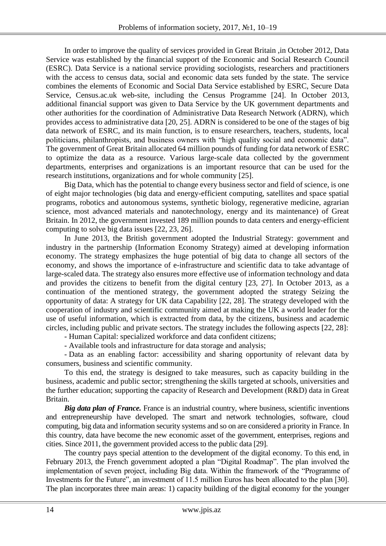In order to improve the quality of services provided in Great Britain ,in October 2012, Data Service was established by the financial support of the Economic and Social Research Council (ESRC). Data Service is a national service providing sociologists, researchers and practitioners with the access to census data, social and economic data sets funded by the state. The service combines the elements of Economic and Social Data Service established by ESRC, Secure Data Service, Census.ac.uk web-site, including the Census Programme [24]. In October 2013, additional financial support was given to Data Service by the UK government departments and other authorities for the coordination of Administrative Data Research Network (ADRN), which provides access to administrative data [20, 25]. ADRN is considered to be one of the stages of big data network of ESRC, and its main function, is to ensure researchers, teachers, students, local politicians, philanthropists, and business owners with "high quality social and economic data". The government of Great Britain allocated 64 million pounds of funding for data network of ESRC to optimize the data as a resource. Various large-scale data collected by the government departments, enterprises and organizations is an important resource that can be used for the research institutions, organizations and for whole community [25].

Big Data, which has the potential to change every business sector and field of science, is one of eight major technologies (big data and energy-efficient computing, satellites and space spatial programs, robotics and autonomous systems, synthetic biology, regenerative medicine, agrarian science, most advanced materials and nanotechnology, energy and its maintenance) of Great Britain. In 2012, the government invested 189 million pounds to data centers and energy-efficient computing to solve big data issues [22, 23, 26].

In June 2013, the British government adopted the Industrial Strategy: government and industry in the partnership (Information Economy Strategy) aimed at developing information economy. The strategy emphasizes the huge potential of big data to change all sectors of the economy, and shows the importance of e-infrastructure and scientific data to take advantage of large-scaled data. The strategy also ensures more effective use of information technology and data and provides the citizens to benefit from the digital century [23, 27]. In October 2013, as a continuation of the mentioned strategy, the government adopted the strategy Seizing the opportunity of data: A strategy for UK data Capability [22, 28]. The strategy developed with the cooperation of industry and scientific community aimed at making the UK a world leader for the use of useful information, which is extracted from data, by the citizens, business and academic circles, including public and private sectors. The strategy includes the following aspects [22, 28]:

- Human Capital: specialized workforce and data confident citizens;

- Available tools and infrastructure for data storage and analysis;

- Data as an enabling factor: accessibility and sharing opportunity of relevant data by consumers, business and scientific community.

To this end, the strategy is designed to take measures, such as capacity building in the business, academic and public sector; strengthening the skills targeted at schools, universities and the further education; supporting the capacity of Research and Development (R&D) data in Great Britain.

*Big data plan of France.* France is an industrial country, where business, scientific inventions and entrepreneurship have developed. The smart and network technologies, software, cloud computing, big data and information security systems and so on are considered a priority in France. In this country, data have become the new economic asset of the government, enterprises, regions and cities. Since 2011, the government provided access to the public data [29].

The country pays special attention to the development of the digital economy. To this end, in February 2013, the French government adopted a plan "Digital Roadmap". The plan involved the implementation of seven project, including Big data. Within the framework of the "Programme of Investments for the Future", an investment of 11.5 million Euros has been allocated to the plan [30]. The plan incorporates three main areas: 1) capacity building of the digital economy for the younger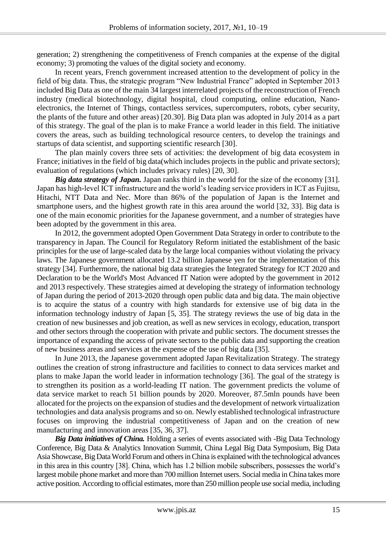generation; 2) strengthening the competitiveness of French companies at the expense of the digital economy; 3) promoting the values of the digital society and economy.

In recent years, French government increased attention to the development of policy in the field of big data. Thus, the strategic program "New Industrial France" adopted in September 2013 included Big Data as one of the main 34 largest interrelated projects of the reconstruction of French industry (medical biotechnology, digital hospital, cloud computing, online education, Nanoelectronics, the Internet of Things, contactless services, supercomputers, robots, cyber security, the plants of the future and other areas) [20.30]. Big Data plan was adopted in July 2014 as a part of this strategy. The goal of the plan is to make France a world leader in this field. The initiative covers the areas, such as building technological resource centers, to develop the trainings and startups of data scientist, and supporting scientific research [30].

The plan mainly covers three sets of activities: the development of big data ecosystem in France; initiatives in the field of big data(which includes projects in the public and private sectors); evaluation of regulations (which includes privacy rules) [20, 30].

*Big data strategy of Japan.* Japan ranks third in the world for the size of the economy [31]. Japan has high-level ICT infrastructure and the world's leading service providers in ICT as Fujitsu, Hitachi, NTT Data and Nec. More than 86% of the population of Japan is the Internet and smartphone users, and the highest growth rate in this area around the world [32, 33]. Big data is one of the main economic priorities for the Japanese government, and a number of strategies have been adopted by the government in this area.

In 2012, the government adopted Open Government Data Strategy in order to contribute to the transparency in Japan. The Council for Regulatory Reform initiated the establishment of the basic principles for the use of large-scaled data by the large local companies without violating the privacy laws. The Japanese government allocated 13.2 billion Japanese yen for the implementation of this strategy [34]. Furthermore, the national big data strategies the Integrated Strategy for ICT 2020 and Declaration to be the World's Most Advanced IT Nation were adopted by the government in 2012 and 2013 respectively. These strategies aimed at developing the strategy of information technology of Japan during the period of 2013-2020 through open public data and big data. The main objective is to acquire the status of a country with high standards for extensive use of big data in the information technology industry of Japan [5, 35]. The strategy reviews the use of big data in the creation of new businesses and job creation, as well as new services in ecology, education, transport and other sectors through the cooperation with private and public sectors. The document stresses the importance of expanding the access of private sectors to the public data and supporting the creation of new business areas and services at the expense of the use of big data [35].

In June 2013, the Japanese government adopted Japan Revitalization Strategy. The strategy outlines the creation of strong infrastructure and facilities to connect to data services market and plans to make Japan the world leader in information technology [36]. The goal of the strategy is to strengthen its position as a world-leading IT nation. The government predicts the volume of data service market to reach 51 billion pounds by 2020. Moreover, 87.5mln pounds have been allocated for the projects on the expansion of studies and the development of network virtualization technologies and data analysis programs and so on. Newly established technological infrastructure focuses on improving the industrial competitiveness of Japan and on the creation of new manufacturing and innovation areas [35, 36, 37].

*Big Data initiatives of China.* Holding a series of events associated with -Big Data Technology Conference, Big Data & Analytics Innovation Summit, China Legal Big Data Symposium, Big Data Asia Showcase, Big Data World Forum and others in China is explained with the technological advances in this area in this country [38]. China, which has 1.2 billion mobile subscribers, possesses the world's largest mobile phone market and more than 700 million Internet users. Social media in China takes more active position. According to official estimates, more than 250 million people use social media, including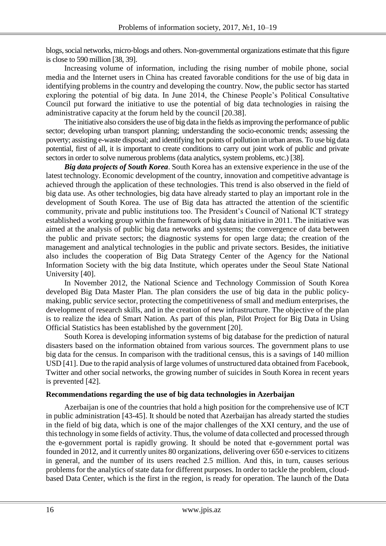blogs, social networks, micro-blogs and others. Non-governmental organizations estimate that this figure is close to 590 million [38, 39].

Increasing volume of information, including the rising number of mobile phone, social media and the Internet users in China has created favorable conditions for the use of big data in identifying problems in the country and developing the country. Now, the public sector has started exploring the potential of big data. In June 2014, the Chinese People's Political Consultative Council put forward the initiative to use the potential of big data technologies in raising the administrative capacity at the forum held by the council [20.38].

The initiative also considers the use of big data in the fields as improving the performance of public sector; developing urban transport planning; understanding the socio-economic trends; assessing the poverty; assisting e-waste disposal; and identifying hot points of pollution in urban areas. To use big data potential, first of all, it is important to create conditions to carry out joint work of public and private sectors in order to solve numerous problems (data analytics, system problems, etc.) [38].

*Big data projects of South Korea*. South Korea has an extensive experience in the use of the latest technology. Economic development of the country, innovation and competitive advantage is achieved through the application of these technologies. This trend is also observed in the field of big data use. As other technologies, big data have already started to play an important role in the development of South Korea. The use of Big data has attracted the attention of the scientific community, private and public institutions too. The President's Council of National ICT strategy established a working group within the framework of big data initiative in 2011. The initiative was aimed at the analysis of public big data networks and systems; the convergence of data between the public and private sectors; the diagnostic systems for open large data; the creation of the management and analytical technologies in the public and private sectors. Besides, the initiative also includes the cooperation of Big Data Strategy Center of the Agency for the National Information Society with the big data Institute, which operates under the Seoul State National University [40].

In November 2012, the National Science and Technology Commission of South Korea developed Big Data Master Plan. The plan considers the use of big data in the public policymaking, public service sector, protecting the competitiveness of small and medium enterprises, the development of research skills, and in the creation of new infrastructure. The objective of the plan is to realize the idea of Smart Nation. As part of this plan, Pilot Project for Big Data in Using Official Statistics has been established by the government [20].

South Korea is developing information systems of big database for the prediction of natural disasters based on the information obtained from various sources. The government plans to use big data for the census. In comparison with the traditional census, this is a savings of 140 million USD [41]. Due to the rapid analysis of large volumes of unstructured data obtained from Facebook, Twitter and other social networks, the growing number of suicides in South Korea in recent years is prevented [42].

## **Recommendations regarding the use of big data technologies in Azerbaijan**

Azerbaijan is one of the countries that hold a high position for the comprehensive use of ICT in public administration [43-45]. It should be noted that Azerbaijan has already started the studies in the field of big data, which is one of the major challenges of the XXI century, and the use of this technology in some fields of activity. Thus, the volume of data collected and processed through the e-government portal is rapidly growing. It should be noted that e-government portal was founded in 2012, and it currently unites 80 organizations, delivering over 650 e-services to citizens in general, and the number of its users reached 2.5 million. And this, in turn, causes serious problems for the analytics of state data for different purposes. In order to tackle the problem, cloudbased Data Center, which is the first in the region, is ready for operation. The launch of the Data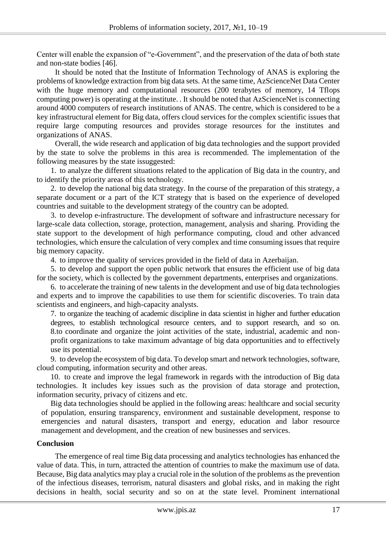Center will enable the expansion of "e-Government", and the preservation of the data of both state and non-state bodies [46].

It should be noted that the Institute of Information Technology of ANAS is exploring the problems of knowledge extraction from big data sets. At the same time, AzScienceNet Data Center with the huge memory and computational resources (200 terabytes of memory, 14 Tflops computing power) is operating at the institute. . It should be noted that AzScienceNet is connecting around 4000 computers of research institutions of ANAS. The centre, which is considered to be a key infrastructural element for Big data, offers cloud services for the complex scientific issues that require large computing resources and provides storage resources for the institutes and organizations of ANAS.

Overall, the wide research and application of big data technologies and the support provided by the state to solve the problems in this area is recommended. The implementation of the following measures by the state issuggested:

1. to analyze the different situations related to the application of Big data in the country, and to identify the priority areas of this technology.

2. to develop the national big data strategy. In the course of the preparation of this strategy, a separate document or a part of the ICT strategy that is based on the experience of developed countries and suitable to the development strategy of the country can be adopted.

3. to develop e-infrastructure. The development of software and infrastructure necessary for large-scale data collection, storage, protection, management, analysis and sharing. Providing the state support to the development of high performance computing, cloud and other advanced technologies, which ensure the calculation of very complex and time consuming issues that require big memory capacity.

4. to improve the quality of services provided in the field of data in Azerbaijan.

5. to develop and support the open public network that ensures the efficient use of big data for the society, which is collected by the government departments, enterprises and organizations.

6. to accelerate the training of new talents in the development and use of big data technologies and experts and to improve the capabilities to use them for scientific discoveries. To train data scientists and engineers, and high-capacity analysts.

7. to organize the teaching of academic discipline in data scientist in higher and further education degrees, to establish technological resource centers, and to support research, and so on. 8.to coordinate and organize the joint activities of the state, industrial, academic and nonprofit organizations to take maximum advantage of big data opportunities and to effectively use its potential.

9. to develop the ecosystem of big data. To develop smart and network technologies, software, cloud computing, information security and other areas.

10. to create and improve the legal framework in regards with the introduction of Big data technologies. It includes key issues such as the provision of data storage and protection, information security, privacy of citizens and etc.

Big data technologies should be applied in the following areas: healthcare and social security of population, ensuring transparency, environment and sustainable development, response to emergencies and natural disasters, transport and energy, education and labor resource management and development, and the creation of new businesses and services.

## **Conclusion**

The emergence of real time Big data processing and analytics technologies has enhanced the value of data. This, in turn, attracted the attention of countries to make the maximum use of data. Because, Big data analytics may play a crucial role in the solution of the problems as the prevention of the infectious diseases, terrorism, natural disasters and global risks, and in making the right decisions in health, social security and so on at the state level. Prominent international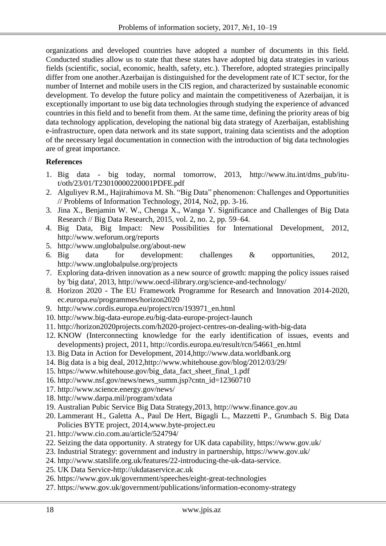organizations and developed countries have adopted a number of documents in this field. Conducted studies allow us to state that these states have adopted big data strategies in various fields (scientific, social, economic, health, safety, etc.). Therefore, adopted strategies principally differ from one another.Azerbaijan is distinguished for the development rate of ICT sector, for the number of Internet and mobile users in the CIS region, and characterized by sustainable economic development. To develop the future policy and maintain the competitiveness of Azerbaijan, it is exceptionally important to use big data technologies through studying the experience of advanced countries in this field and to benefit from them. At the same time, defining the priority areas of big data technology application, developing the national big data strategy of Azerbaijan, establishing e-infrastructure, open data network and its state support, training data scientists and the adoption of the necessary legal documentation in connection with the introduction of big data technologies are of great importance.

## **References**

- 1. Big data big today, normal tomorrow, 2013, http://www.itu.int/dms\_pub/itut/oth/23/01/T23010000220001PDFE.pdf
- 2. Alguliyev R.M., Hajirahimova M. Sh. "Big Data" phenomenon: Challenges and Opportunities // Problems of Information Technology, 2014, No2, pp. 3-16.
- 3. Jina X., Benjamin W. W., Chenga X., Wanga Y. Significance and Challenges of Big Data Research // Big Data Research, 2015, vol. 2, no. 2, pp. 59–64.
- 4. Big Data, Big Impact: New Possibilities for International Development, 2012, http://www.weforum.org/reports
- 5. http://www.unglobalpulse.org/about-new
- 6. Big data for development: challenges & opportunities, 2012, http://www.unglobalpulse.org/projects
- 7. Exploring data-driven innovation as a new source of growth: mapping the policy issues raised by 'big data', 2013, http://www.oecd-ilibrary.org/science-and-technology/
- 8. Horizon 2020 The EU Framework Programme for Research and Innovation 2014-2020, ec.europa.eu/programmes/horizon2020
- 9. http://www.cordis.europa.eu/project/rcn/193971\_en.html
- 10. http://www.big-data-europe.eu/big-data-europe-project-launch
- 11. http://horizon2020projects.com/h2020-project-centres-on-dealing-with-big-data
- 12. KNOW (Interconnecting knowledge for the early identification of issues, events and developments) project, 2011, http://cordis.europa.eu/result/rcn/54661\_en.html
- 13. Big Data in Action for Development, 2014,http://www.data.worldbank.org
- 14. Big data is a big deal, 2012,http://www.whitehouse.gov/blog/2012/03/29/
- 15. https://www.whitehouse.gov/big\_data\_fact\_sheet\_final\_1.pdf
- 16. http://www.nsf.gov/news/news\_summ.jsp?cntn\_id=12360710
- 17. http://www.science.energy.gov/news/
- 18. http://www.darpa.mil/program/xdata
- 19. Australian Pubic Service Big Data Strategy,2013, http://www.finance.gov.au
- 20. Lammerant H., Galetta A., Paul De Hert, Bigagli L., Mazzetti P., Grumbach S. Big Data Policies BYTE project, 2014,www.byte-project.eu
- 21. http://www.cio.com.au/article/524794/
- 22. Seizing the data opportunity. A strategy for UK data capability, https://www.gov.uk/
- 23. Industrial Strategy: government and industry in partnership, https://www.gov.uk/
- 24. http://www.statslife.org.uk/features/22-introducing-the-uk-data-service.
- 25. UK Data Service-http://ukdataservice.ac.uk
- 26. https://www.gov.uk/government/speeches/eight-great-technologies
- 27. https://www.gov.uk/government/publications/information-economy-strategy